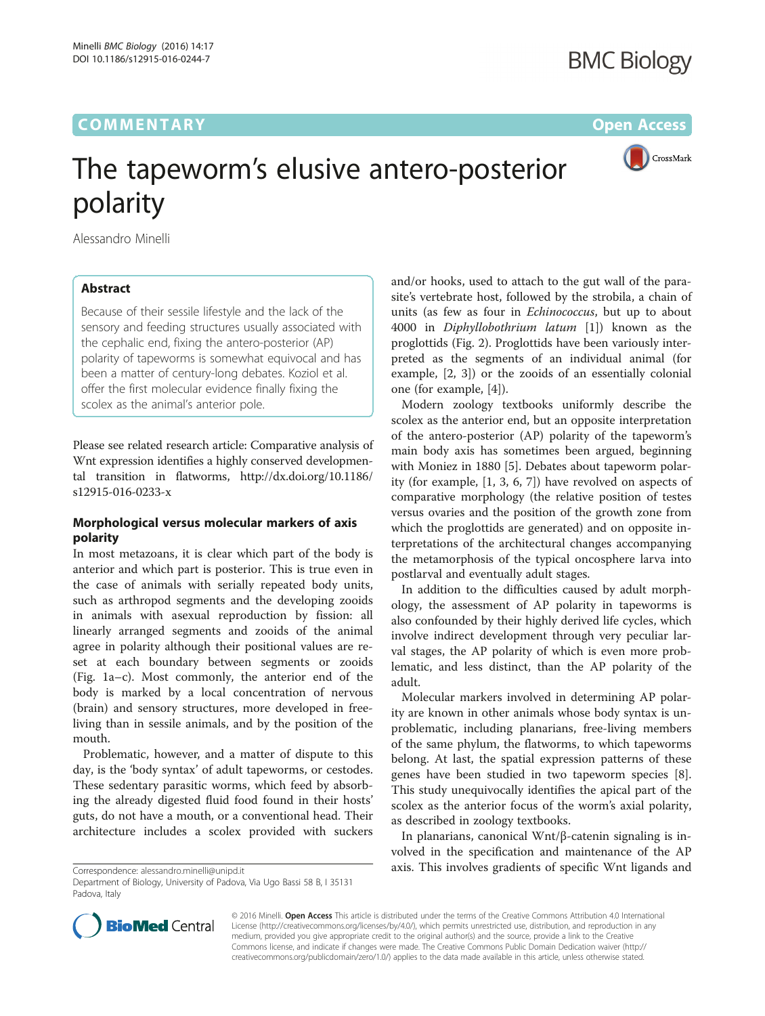# **COMMENTARY** COMMENTARY **COMMENTARY**



# The tapeworm's elusive antero-posterior

polarity Alessandro Minelli

## Abstract

Because of their sessile lifestyle and the lack of the sensory and feeding structures usually associated with the cephalic end, fixing the antero-posterior (AP) polarity of tapeworms is somewhat equivocal and has been a matter of century-long debates. Koziol et al. offer the first molecular evidence finally fixing the scolex as the animal's anterior pole.

Please see related research article: Comparative analysis of Wnt expression identifies a highly conserved developmental transition in flatworms, [http://dx.doi.org/10.1186/](http://dx.doi.org/10.1186/s12915-016-0233-x) [s12915-016-0233-x](http://dx.doi.org/10.1186/s12915-016-0233-x)

### Morphological versus molecular markers of axis polarity

In most metazoans, it is clear which part of the body is anterior and which part is posterior. This is true even in the case of animals with serially repeated body units, such as arthropod segments and the developing zooids in animals with asexual reproduction by fission: all linearly arranged segments and zooids of the animal agree in polarity although their positional values are reset at each boundary between segments or zooids (Fig. [1a](#page-1-0)–c). Most commonly, the anterior end of the body is marked by a local concentration of nervous (brain) and sensory structures, more developed in freeliving than in sessile animals, and by the position of the mouth.

Problematic, however, and a matter of dispute to this day, is the 'body syntax' of adult tapeworms, or cestodes. These sedentary parasitic worms, which feed by absorbing the already digested fluid food found in their hosts' guts, do not have a mouth, or a conventional head. Their architecture includes a scolex provided with suckers

Correspondence: [alessandro.minelli@unipd.it](mailto:alessandro.minelli@unipd.it)

and/or hooks, used to attach to the gut wall of the parasite's vertebrate host, followed by the strobila, a chain of units (as few as four in Echinococcus, but up to about 4000 in Diphyllobothrium latum [[1\]](#page-2-0)) known as the proglottids (Fig. [2](#page-1-0)). Proglottids have been variously interpreted as the segments of an individual animal (for example, [\[2](#page-2-0), [3](#page-2-0)]) or the zooids of an essentially colonial one (for example, [[4](#page-2-0)]).

Modern zoology textbooks uniformly describe the scolex as the anterior end, but an opposite interpretation of the antero-posterior (AP) polarity of the tapeworm's main body axis has sometimes been argued, beginning with Moniez in 1880 [[5\]](#page-2-0). Debates about tapeworm polarity (for example, [[1, 3](#page-2-0), [6](#page-2-0), [7\]](#page-2-0)) have revolved on aspects of comparative morphology (the relative position of testes versus ovaries and the position of the growth zone from which the proglottids are generated) and on opposite interpretations of the architectural changes accompanying the metamorphosis of the typical oncosphere larva into postlarval and eventually adult stages.

In addition to the difficulties caused by adult morphology, the assessment of AP polarity in tapeworms is also confounded by their highly derived life cycles, which involve indirect development through very peculiar larval stages, the AP polarity of which is even more problematic, and less distinct, than the AP polarity of the adult.

Molecular markers involved in determining AP polarity are known in other animals whose body syntax is unproblematic, including planarians, free-living members of the same phylum, the flatworms, to which tapeworms belong. At last, the spatial expression patterns of these genes have been studied in two tapeworm species [\[8](#page-2-0)]. This study unequivocally identifies the apical part of the scolex as the anterior focus of the worm's axial polarity, as described in zoology textbooks.

In planarians, canonical Wnt/β-catenin signaling is involved in the specification and maintenance of the AP axis. This involves gradients of specific Wnt ligands and



© 2016 Minelli. Open Access This article is distributed under the terms of the Creative Commons Attribution 4.0 International License ([http://creativecommons.org/licenses/by/4.0/\)](http://creativecommons.org/licenses/by/4.0/), which permits unrestricted use, distribution, and reproduction in any medium, provided you give appropriate credit to the original author(s) and the source, provide a link to the Creative Commons license, and indicate if changes were made. The Creative Commons Public Domain Dedication waiver ([http://](http://creativecommons.org/publicdomain/zero/1.0/) [creativecommons.org/publicdomain/zero/1.0/\)](http://creativecommons.org/publicdomain/zero/1.0/) applies to the data made available in this article, unless otherwise stated.

Department of Biology, University of Padova, Via Ugo Bassi 58 B, I 35131 Padova, Italy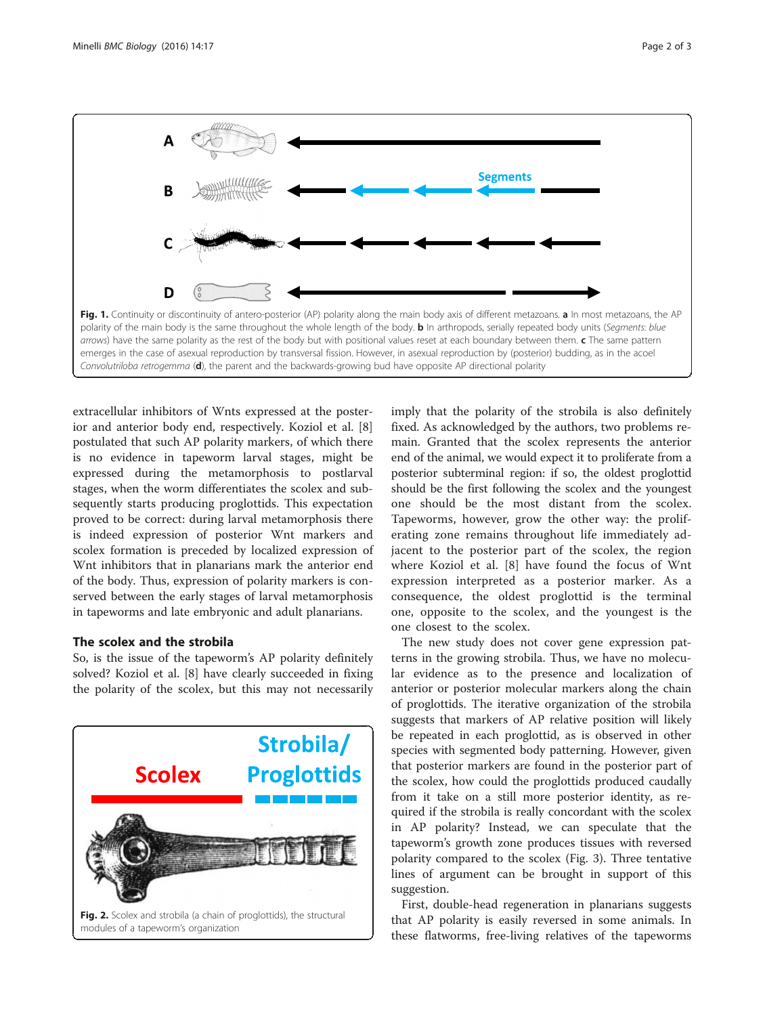<span id="page-1-0"></span>

extracellular inhibitors of Wnts expressed at the posterior and anterior body end, respectively. Koziol et al. [\[8](#page-2-0)] postulated that such AP polarity markers, of which there is no evidence in tapeworm larval stages, might be expressed during the metamorphosis to postlarval stages, when the worm differentiates the scolex and subsequently starts producing proglottids. This expectation proved to be correct: during larval metamorphosis there is indeed expression of posterior Wnt markers and scolex formation is preceded by localized expression of Wnt inhibitors that in planarians mark the anterior end of the body. Thus, expression of polarity markers is conserved between the early stages of larval metamorphosis in tapeworms and late embryonic and adult planarians.

#### The scolex and the strobila

So, is the issue of the tapeworm's AP polarity definitely solved? Koziol et al. [[8\]](#page-2-0) have clearly succeeded in fixing the polarity of the scolex, but this may not necessarily



imply that the polarity of the strobila is also definitely fixed. As acknowledged by the authors, two problems remain. Granted that the scolex represents the anterior end of the animal, we would expect it to proliferate from a posterior subterminal region: if so, the oldest proglottid should be the first following the scolex and the youngest one should be the most distant from the scolex. Tapeworms, however, grow the other way: the proliferating zone remains throughout life immediately adjacent to the posterior part of the scolex, the region where Koziol et al. [\[8](#page-2-0)] have found the focus of Wnt expression interpreted as a posterior marker. As a consequence, the oldest proglottid is the terminal one, opposite to the scolex, and the youngest is the one closest to the scolex.

The new study does not cover gene expression patterns in the growing strobila. Thus, we have no molecular evidence as to the presence and localization of anterior or posterior molecular markers along the chain of proglottids. The iterative organization of the strobila suggests that markers of AP relative position will likely be repeated in each proglottid, as is observed in other species with segmented body patterning. However, given that posterior markers are found in the posterior part of the scolex, how could the proglottids produced caudally from it take on a still more posterior identity, as required if the strobila is really concordant with the scolex in AP polarity? Instead, we can speculate that the tapeworm's growth zone produces tissues with reversed polarity compared to the scolex (Fig. [3\)](#page-2-0). Three tentative lines of argument can be brought in support of this suggestion.

First, double-head regeneration in planarians suggests that AP polarity is easily reversed in some animals. In these flatworms, free-living relatives of the tapeworms